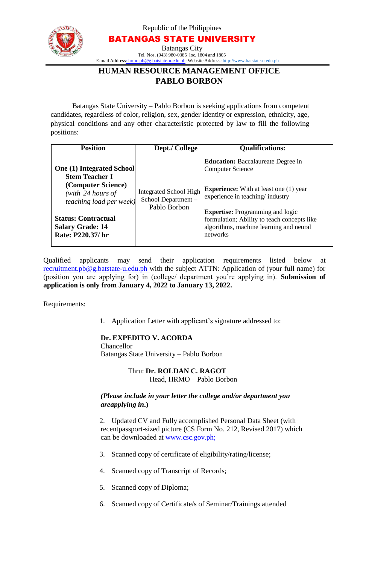

Republic of the Philippines

BATANGAS STATE UNIVERSITY

Batangas City Tel. Nos. (043) 980-0385 loc. 1804 and 1805 E-mail Address: [hrmo.pb@g.batstate-u.edu.ph∙](mailto:hrmo.pb@g.batstate-u.edu.ph) Website Address: [http://www.batstate-u.edu.ph](http://www.batstate-u.edu.ph/)

# **HUMAN RESOURCE MANAGEMENT OFFICE PABLO BORBON**

Batangas State University – Pablo Borbon is seeking applications from competent candidates, regardless of color, religion, sex, gender identity or expression, ethnicity, age, physical conditions and any other characteristic protected by law to fill the following positions:

| <b>Position</b>                                                                                                                                                                                                        | Dept./ College                                                      | <b>Qualifications:</b>                                                                                                                                                                                                                                                                                     |
|------------------------------------------------------------------------------------------------------------------------------------------------------------------------------------------------------------------------|---------------------------------------------------------------------|------------------------------------------------------------------------------------------------------------------------------------------------------------------------------------------------------------------------------------------------------------------------------------------------------------|
| <b>One (1) Integrated School</b><br><b>Stem Teacher I</b><br>(Computer Science)<br>(with $24$ hours of<br><i>teaching load per week)</i><br><b>Status: Contractual</b><br><b>Salary Grade: 14</b><br>Rate: P220.37/ hr | <b>Integrated School High</b><br>School Department-<br>Pablo Borbon | <b>Education:</b> Baccalaureate Degree in<br><b>Computer Science</b><br><b>Experience:</b> With at least one (1) year<br>experience in teaching/ industry<br><b>Expertise:</b> Programming and logic<br>formulation; Ability to teach concepts like<br>algorithms, machine learning and neural<br>networks |

Qualified applicants may send their application requirements listed below at [recruitment.pb@g.batstate-u.edu.ph w](mailto:recruitment.pb@g.batstate-u.edu.ph)ith the subject ATTN: Application of (your full name) for (position you are applying for) in (college/ department you're applying in). **Submission of application is only from January 4, 2022 to January 13, 2022.**

Requirements:

1. Application Letter with applicant's signature addressed to:

### **Dr. EXPEDITO V. ACORDA**

Chancellor Batangas State University – Pablo Borbon

> Thru: **Dr. ROLDAN C. RAGOT** Head, HRMO – Pablo Borbon

#### *(Please include in your letter the college and/or department you areapplying in***.)**

2. Updated CV and Fully accomplished Personal Data Sheet (with recentpassport-sized picture (CS Form No. 212, Revised 2017) which can be downloaded at www.csc.gov.ph;

- 3. Scanned copy of certificate of eligibility/rating/license;
- 4. Scanned copy of Transcript of Records;
- 5. Scanned copy of Diploma;
- 6. Scanned copy of Certificate/s of Seminar/Trainings attended